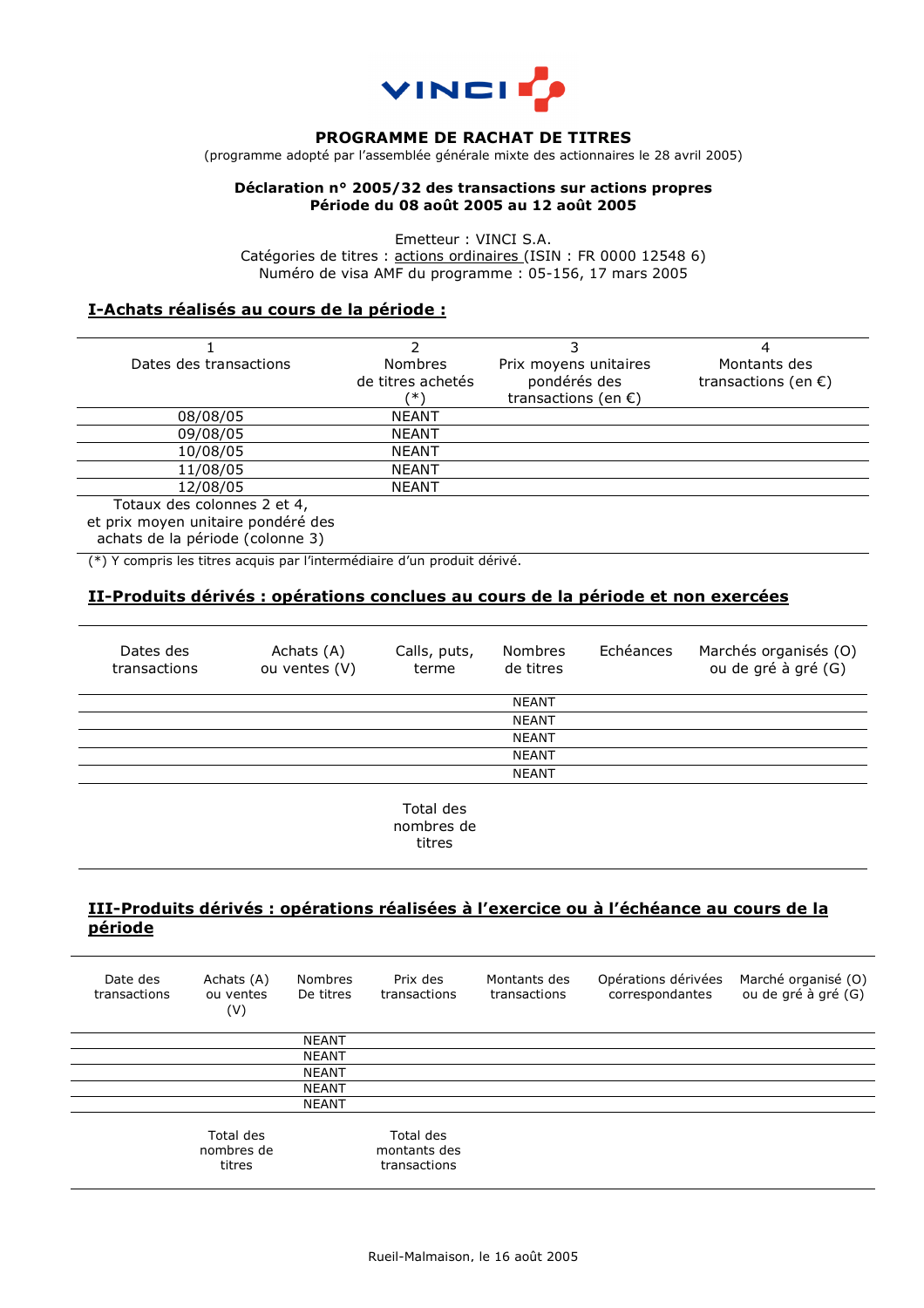

### **PROGRAMME DE RACHAT DE TITRES**

(programme adopté par l'assemblée générale mixte des actionnaires le 28 avril 2005)

### **Déclaration n° 2005/32 des transactions sur actions propres Période du 08 août 2005 au 12 août 2005**

Emetteur : VINCI S.A. Catégories de titres : actions ordinaires (ISIN : FR 0000 12548 6) Numéro de visa AMF du programme : 05-156, 17 mars 2005

### **I-Achats réalisés au cours de la période :**

| Dates des transactions                                        | <b>Nombres</b>    | Prix moyens unitaires         | Montants des                  |  |
|---------------------------------------------------------------|-------------------|-------------------------------|-------------------------------|--|
|                                                               | de titres achetés | pondérés des                  | transactions (en $\epsilon$ ) |  |
|                                                               | (* ا              | transactions (en $\epsilon$ ) |                               |  |
| 08/08/05                                                      | <b>NEANT</b>      |                               |                               |  |
| 09/08/05                                                      | <b>NEANT</b>      |                               |                               |  |
| 10/08/05                                                      | <b>NEANT</b>      |                               |                               |  |
| 11/08/05                                                      | <b>NEANT</b>      |                               |                               |  |
| 12/08/05                                                      | <b>NEANT</b>      |                               |                               |  |
| $T_{\alpha+\alpha}$ , $\alpha$ , dee eelennee $2$ et $\alpha$ |                   |                               |                               |  |

Totaux des colonnes 2 et 4, et prix moyen unitaire pondéré des achats de la période (colonne 3)

(\*) Y compris les titres acquis par l'intermédiaire d'un produit dérivé.

## **II-Produits dérivés : opérations conclues au cours de la période et non exercées**

| Dates des<br>transactions | Achats (A)<br>ou ventes (V) | Calls, puts,<br>terme | <b>Nombres</b><br>de titres | Echéances | Marchés organisés (O)<br>ou de gré à gré (G) |
|---------------------------|-----------------------------|-----------------------|-----------------------------|-----------|----------------------------------------------|
|                           |                             |                       | <b>NEANT</b>                |           |                                              |
|                           |                             |                       | <b>NEANT</b>                |           |                                              |
|                           |                             |                       | <b>NEANT</b>                |           |                                              |
|                           |                             |                       | <b>NEANT</b>                |           |                                              |
|                           |                             |                       | <b>NEANT</b>                |           |                                              |
|                           |                             | ___                   |                             |           |                                              |

Total des nombres de titres

# **III-Produits dérivés : opérations réalisées à l'exercice ou à l'échéance au cours de la période**

| Date des<br>transactions | Achats (A)<br>ou ventes<br>(V)    | <b>Nombres</b><br>De titres | Prix des<br>transactions                  | Montants des<br>transactions | Opérations dérivées<br>correspondantes | Marché organisé (O)<br>ou de gré à gré (G) |
|--------------------------|-----------------------------------|-----------------------------|-------------------------------------------|------------------------------|----------------------------------------|--------------------------------------------|
|                          |                                   | <b>NEANT</b>                |                                           |                              |                                        |                                            |
|                          |                                   | <b>NEANT</b>                |                                           |                              |                                        |                                            |
|                          |                                   | <b>NEANT</b>                |                                           |                              |                                        |                                            |
|                          |                                   | <b>NEANT</b>                |                                           |                              |                                        |                                            |
|                          |                                   | <b>NEANT</b>                |                                           |                              |                                        |                                            |
|                          | Total des<br>nombres de<br>titres |                             | Total des<br>montants des<br>transactions |                              |                                        |                                            |